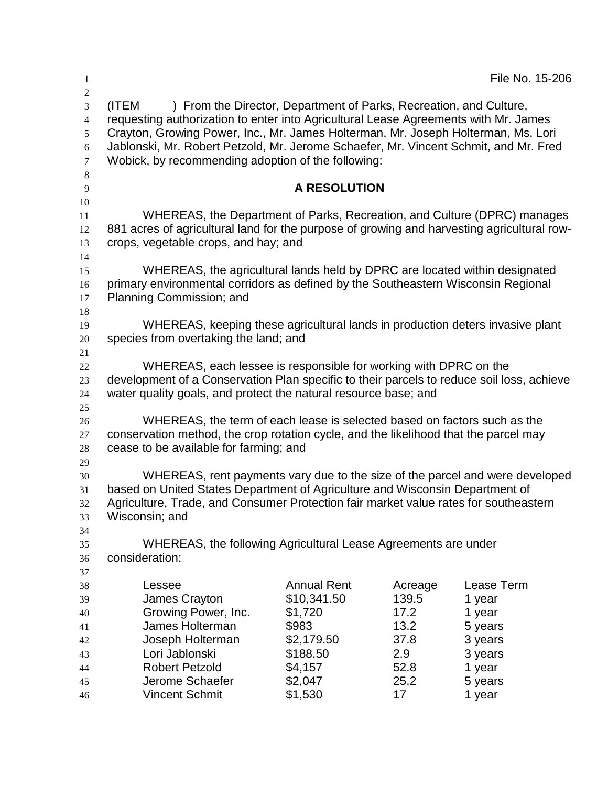| $\mathbf{1}$                                                             |                                                                                                                                                                                                                                                                                                                                                                                                       |                                                         |                                   | File No. 15-206                                   |  |  |
|--------------------------------------------------------------------------|-------------------------------------------------------------------------------------------------------------------------------------------------------------------------------------------------------------------------------------------------------------------------------------------------------------------------------------------------------------------------------------------------------|---------------------------------------------------------|-----------------------------------|---------------------------------------------------|--|--|
| $\overline{2}$<br>3<br>4<br>5<br>$\sqrt{6}$<br>$\tau$<br>$8\phantom{.0}$ | (ITEM<br>) From the Director, Department of Parks, Recreation, and Culture,<br>requesting authorization to enter into Agricultural Lease Agreements with Mr. James<br>Crayton, Growing Power, Inc., Mr. James Holterman, Mr. Joseph Holterman, Ms. Lori<br>Jablonski, Mr. Robert Petzold, Mr. Jerome Schaefer, Mr. Vincent Schmit, and Mr. Fred<br>Wobick, by recommending adoption of the following: |                                                         |                                   |                                                   |  |  |
| 9<br>10                                                                  |                                                                                                                                                                                                                                                                                                                                                                                                       | <b>A RESOLUTION</b>                                     |                                   |                                                   |  |  |
| 11<br>12<br>13                                                           | WHEREAS, the Department of Parks, Recreation, and Culture (DPRC) manages<br>881 acres of agricultural land for the purpose of growing and harvesting agricultural row-<br>crops, vegetable crops, and hay; and                                                                                                                                                                                        |                                                         |                                   |                                                   |  |  |
| 14<br>15<br>16<br>17                                                     | WHEREAS, the agricultural lands held by DPRC are located within designated<br>primary environmental corridors as defined by the Southeastern Wisconsin Regional<br>Planning Commission; and                                                                                                                                                                                                           |                                                         |                                   |                                                   |  |  |
| 18<br>19<br>20<br>21                                                     | WHEREAS, keeping these agricultural lands in production deters invasive plant<br>species from overtaking the land; and                                                                                                                                                                                                                                                                                |                                                         |                                   |                                                   |  |  |
| 22<br>23<br>24<br>25                                                     | WHEREAS, each lessee is responsible for working with DPRC on the<br>development of a Conservation Plan specific to their parcels to reduce soil loss, achieve<br>water quality goals, and protect the natural resource base; and                                                                                                                                                                      |                                                         |                                   |                                                   |  |  |
| 26<br>27<br>28<br>29                                                     | WHEREAS, the term of each lease is selected based on factors such as the<br>conservation method, the crop rotation cycle, and the likelihood that the parcel may<br>cease to be available for farming; and                                                                                                                                                                                            |                                                         |                                   |                                                   |  |  |
| 30<br>31<br>32<br>33                                                     | WHEREAS, rent payments vary due to the size of the parcel and were developed<br>based on United States Department of Agriculture and Wisconsin Department of<br>Agriculture, Trade, and Consumer Protection fair market value rates for southeastern<br>Wisconsin; and                                                                                                                                |                                                         |                                   |                                                   |  |  |
| 34<br>35<br>36<br>37                                                     | WHEREAS, the following Agricultural Lease Agreements are under<br>consideration:                                                                                                                                                                                                                                                                                                                      |                                                         |                                   |                                                   |  |  |
| 38<br>39<br>40<br>41                                                     | <u>Lessee</u><br>James Crayton<br>Growing Power, Inc.<br>James Holterman                                                                                                                                                                                                                                                                                                                              | <b>Annual Rent</b><br>\$10,341.50<br>\$1,720<br>\$983   | Acreage<br>139.5<br>17.2<br>13.2  | Lease Term<br>1 year<br>1 year<br>5 years         |  |  |
| 42<br>43<br>44<br>45<br>46                                               | Joseph Holterman<br>Lori Jablonski<br><b>Robert Petzold</b><br>Jerome Schaefer<br><b>Vincent Schmit</b>                                                                                                                                                                                                                                                                                               | \$2,179.50<br>\$188.50<br>\$4,157<br>\$2,047<br>\$1,530 | 37.8<br>2.9<br>52.8<br>25.2<br>17 | 3 years<br>3 years<br>1 year<br>5 years<br>1 year |  |  |